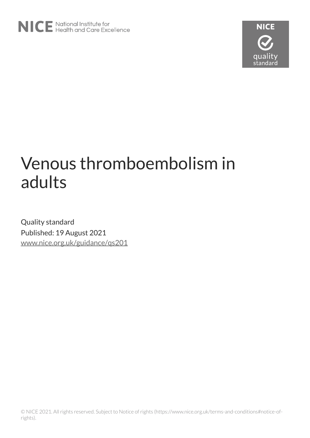

# Venous thromboembolism in adults

Quality standard Published: 19 August 2021 [www.nice.org.uk/guidance/qs201](https://www.nice.org.uk/guidance/qs201)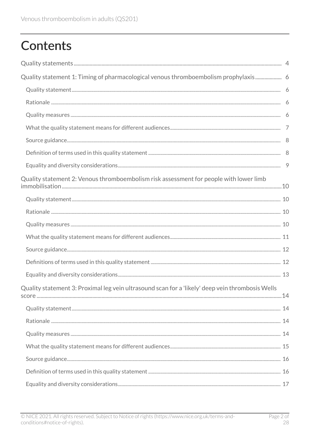# **Contents**

| Quality statement 1: Timing of pharmacological venous thromboembolism prophylaxis 6              |  |
|--------------------------------------------------------------------------------------------------|--|
|                                                                                                  |  |
|                                                                                                  |  |
|                                                                                                  |  |
|                                                                                                  |  |
|                                                                                                  |  |
|                                                                                                  |  |
|                                                                                                  |  |
| Quality statement 2: Venous thromboembolism risk assessment for people with lower limb           |  |
|                                                                                                  |  |
|                                                                                                  |  |
|                                                                                                  |  |
|                                                                                                  |  |
|                                                                                                  |  |
|                                                                                                  |  |
|                                                                                                  |  |
| Quality statement 3: Proximal leg vein ultrasound scan for a 'likely' deep vein thrombosis Wells |  |
|                                                                                                  |  |
|                                                                                                  |  |
|                                                                                                  |  |
|                                                                                                  |  |
|                                                                                                  |  |
|                                                                                                  |  |
|                                                                                                  |  |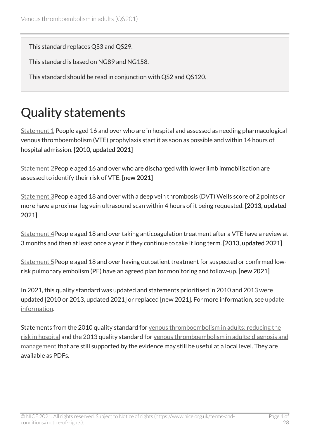This standard replaces QS3 and QS29.

This standard is based on NG89 and NG158.

This standard should be read in conjunction with QS2 and QS120.

## <span id="page-3-0"></span>Quality statements

[Statement 1](#page-5-0) People aged 16 and over who are in hospital and assessed as needing pharmacological venous thromboembolism (VTE) prophylaxis start it as soon as possible and within 14 hours of hospital admission. [2010, updated 2021]

[Statement 2](#page-9-0)People aged 16 and over who are discharged with lower limb immobilisation are assessed to identify their risk of VTE. [new 2021]

[Statement 3](#page-13-0)People aged 18 and over with a deep vein thrombosis (DVT) Wells score of 2 points or more have a proximal leg vein ultrasound scan within 4 hours of it being requested. [2013, updated 2021]

[Statement 4](#page-17-0)People aged 18 and over taking anticoagulation treatment after a VTE have a review at 3 months and then at least once a year if they continue to take it long term. [2013, updated 2021]

[Statement 5](#page-21-0)People aged 18 and over having outpatient treatment for suspected or confirmed lowrisk pulmonary embolism (PE) have an agreed plan for monitoring and follow-up. [new 2021]

In 2021, this quality standard was updated and statements prioritised in 2010 and 2013 were updated [2010 or 2013, updated 2021] or replaced [new 2021]. For more information, see update [information](#page-25-0).

Statements from the 2010 quality standard for venous thromboembolism in adults: reducing the [risk in hospital](https://www.nice.org.uk/guidance/qs3) and the 2013 quality standard for [venous thromboembolism in adults: diagnosis and](https://www.nice.org.uk/guidance/qs29) [management](https://www.nice.org.uk/guidance/qs29) that are still supported by the evidence may still be useful at a local level. They are available as PDFs.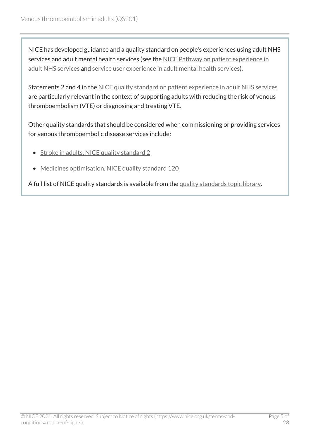NICE has developed guidance and a quality standard on people's experiences using adult NHS services and adult mental health services (see the [NICE Pathway on patient experience in](https://pathways.nice.org.uk/pathways/patient-experience-in-adult-nhs-services) [adult NHS services](https://pathways.nice.org.uk/pathways/patient-experience-in-adult-nhs-services) and [service user experience in adult mental health services\)](https://pathways.nice.org.uk/pathways/service-user-experience-in-adult-mental-health-services).

Statements 2 and 4 in the [NICE quality standard on patient experience in adult NHS services](https://www.nice.org.uk/guidance/qs15) are particularly relevant in the context of supporting adults with reducing the risk of venous thromboembolism (VTE) or diagnosing and treating VTE.

Other quality standards that should be considered when commissioning or providing services for venous thromboembolic disease services include:

- [Stroke in adults. NICE quality standard](https://www.nice.org.uk/guidance/qs2) 2
- [Medicines optimisation. NICE quality standard](https://www.nice.org.uk/guidance/qs120) 120

A full list of NICE quality standards is available from the [quality standards topic library](http://www.nice.org.uk/Standards-and-Indicators/Developing-NICE-quality-standards-/Quality-standards-topic-library).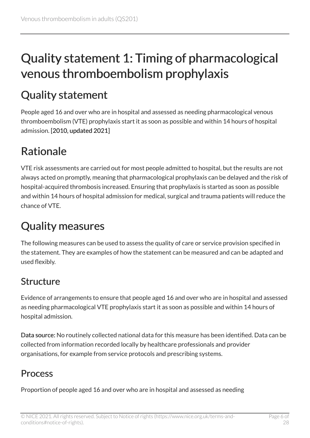## <span id="page-5-0"></span>Quality statement 1: Timing of pharmacological venous thromboembolism prophylaxis

## <span id="page-5-1"></span>Quality statement

People aged 16 and over who are in hospital and assessed as needing pharmacological venous thromboembolism (VTE) prophylaxis start it as soon as possible and within 14 hours of hospital admission. [2010, updated 2021]

## <span id="page-5-2"></span>Rationale

VTE risk assessments are carried out for most people admitted to hospital, but the results are not always acted on promptly, meaning that pharmacological prophylaxis can be delayed and the risk of hospital-acquired thrombosis increased. Ensuring that prophylaxis is started as soon as possible and within 14 hours of hospital admission for medical, surgical and trauma patients will reduce the chance of VTE.

## <span id="page-5-3"></span>Quality measures

The following measures can be used to assess the quality of care or service provision specified in the statement. They are examples of how the statement can be measured and can be adapted and used flexibly.

### Structure

Evidence of arrangements to ensure that people aged 16 and over who are in hospital and assessed as needing pharmacological VTE prophylaxis start it as soon as possible and within 14 hours of hospital admission.

Data source: No routinely collected national data for this measure has been identified. Data can be collected from information recorded locally by healthcare professionals and provider organisations, for example from service protocols and prescribing systems.

#### **Process**

Proportion of people aged 16 and over who are in hospital and assessed as needing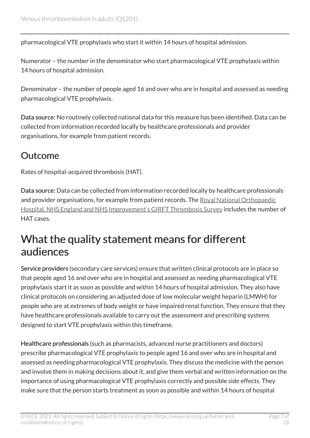pharmacological VTE prophylaxis who start it within 14 hours of hospital admission.

Numerator – the number in the denominator who start pharmacological VTE prophylaxis within 14 hours of hospital admission.

Denominator – the number of people aged 16 and over who are in hospital and assessed as needing pharmacological VTE prophylaxis.

Data source: No routinely collected national data for this measure has been identified. Data can be collected from information recorded locally by healthcare professionals and provider organisations, for example from patient records.

#### **Outcome**

Rates of hospital-acquired thrombosis (HAT).

Data source: Data can be collected from information recorded locally by healthcare professionals and provider organisations, for example from patient records. The [Royal National Orthopaedic](https://www.gettingitrightfirsttime.co.uk/thrombosis-survey/) [Hospital, NHS England and NHS Improvement's GIRFT Thrombosis Survey](https://www.gettingitrightfirsttime.co.uk/thrombosis-survey/) includes the number of HAT cases.

### <span id="page-6-0"></span>What the quality statement means for different audiences

Service providers (secondary care services) ensure that written clinical protocols are in place so that people aged 16 and over who are in hospital and assessed as needing pharmacological VTE prophylaxis start it as soon as possible and within 14 hours of hospital admission. They also have clinical protocols on considering an adjusted dose of low molecular weight heparin (LMWH) for people who are at extremes of body weight or have impaired renal function. They ensure that they have healthcare professionals available to carry out the assessment and prescribing systems designed to start VTE prophylaxis within this timeframe.

Healthcare professionals (such as pharmacists, advanced nurse practitioners and doctors) prescribe pharmacological VTE prophylaxis to people aged 16 and over who are in hospital and assessed as needing pharmacological VTE prophylaxis. They discuss the medicine with the person and involve them in making decisions about it, and give them verbal and written information on the importance of using pharmacological VTE prophylaxis correctly and possible side effects. They make sure that the person starts treatment as soon as possible and within 14 hours of hospital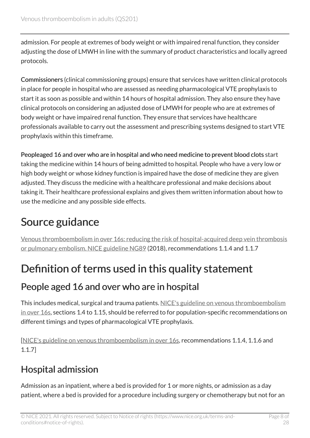admission. For people at extremes of body weight or with impaired renal function, they consider adjusting the dose of LMWH in line with the summary of product characteristics and locally agreed protocols.

Commissioners (clinical commissioning groups) ensure that services have written clinical protocols in place for people in hospital who are assessed as needing pharmacological VTE prophylaxis to start it as soon as possible and within 14 hours of hospital admission. They also ensure they have clinical protocols on considering an adjusted dose of LMWH for people who are at extremes of body weight or have impaired renal function. They ensure that services have healthcare professionals available to carry out the assessment and prescribing systems designed to start VTE prophylaxis within this timeframe.

Peopleaged 16 and over who are in hospital and who need medicine to prevent blood clots start taking the medicine within 14 hours of being admitted to hospital. People who have a very low or high body weight or whose kidney function is impaired have the dose of medicine they are given adjusted. They discuss the medicine with a healthcare professional and make decisions about taking it. Their healthcare professional explains and gives them written information about how to use the medicine and any possible side effects.

### <span id="page-7-0"></span>Source guidance

Venous thromboembolism in over [16s: reducing the risk of hospital-acquired deep vein thrombosis](https://www.nice.org.uk/guidance/ng89)  [or pulmonary embolism. NICE guideline NG89](https://www.nice.org.uk/guidance/ng89) (2018), recommendations 1.1.4 and 1.1.7

## <span id="page-7-1"></span>Definition of terms used in this quality statement

#### People aged 16 and over who are in hospital

This includes medical, surgical and trauma patients. [NICE's guideline on venous thromboembolism](https://www.nice.org.uk/guidance/ng89)  [in over](https://www.nice.org.uk/guidance/ng89) 16s, sections 1.4 to 1.15, should be referred to for population-specific recommendations on different timings and types of pharmacological VTE prophylaxis.

[[NICE's guideline on venous thromboembolism in over](https://www.nice.org.uk/guidance/ng89) 16s, recommendations 1.1.4, 1.1.6 and 1.1.7]

### Hospital admission

Admission as an inpatient, where a bed is provided for 1 or more nights, or admission as a day patient, where a bed is provided for a procedure including surgery or chemotherapy but not for an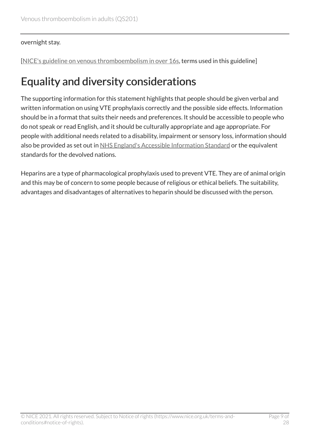#### overnight stay.

[[NICE's guideline on venous thromboembolism in over](https://www.nice.org.uk/guidance/ng89) 16s, terms used in this guideline]

### <span id="page-8-0"></span>Equality and diversity considerations

The supporting information for this statement highlights that people should be given verbal and written information on using VTE prophylaxis correctly and the possible side effects. Information should be in a format that suits their needs and preferences. It should be accessible to people who do not speak or read English, and it should be culturally appropriate and age appropriate. For people with additional needs related to a disability, impairment or sensory loss, information should also be provided as set out in [NHS England's Accessible Information Standard](https://www.england.nhs.uk/ourwork/accessibleinfo/) or the equivalent standards for the devolved nations.

Heparins are a type of pharmacological prophylaxis used to prevent VTE. They are of animal origin and this may be of concern to some people because of religious or ethical beliefs. The suitability, advantages and disadvantages of alternatives to heparin should be discussed with the person.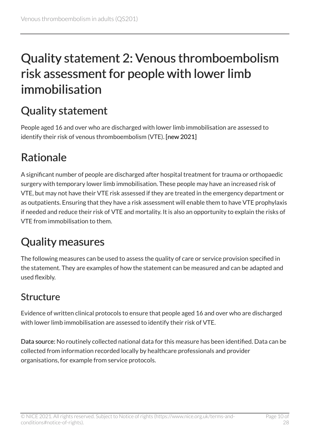## <span id="page-9-0"></span>Quality statement 2: Venous thromboembolism risk assessment for people with lower limb immobilisation

## <span id="page-9-1"></span>Quality statement

People aged 16 and over who are discharged with lower limb immobilisation are assessed to identify their risk of venous thromboembolism (VTE). [new 2021]

## <span id="page-9-2"></span>Rationale

A significant number of people are discharged after hospital treatment for trauma or orthopaedic surgery with temporary lower limb immobilisation. These people may have an increased risk of VTE, but may not have their VTE risk assessed if they are treated in the emergency department or as outpatients. Ensuring that they have a risk assessment will enable them to have VTE prophylaxis if needed and reduce their risk of VTE and mortality. It is also an opportunity to explain the risks of VTE from immobilisation to them.

## <span id="page-9-3"></span>Quality measures

The following measures can be used to assess the quality of care or service provision specified in the statement. They are examples of how the statement can be measured and can be adapted and used flexibly.

#### Structure

Evidence of written clinical protocols to ensure that people aged 16 and over who are discharged with lower limb immobilisation are assessed to identify their risk of VTE.

Data source: No routinely collected national data for this measure has been identified. Data can be collected from information recorded locally by healthcare professionals and provider organisations, for example from service protocols.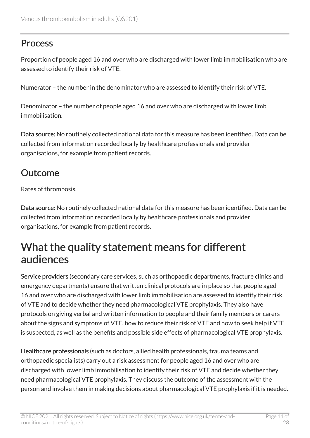#### **Process**

Proportion of people aged 16 and over who are discharged with lower limb immobilisation who are assessed to identify their risk of VTE.

Numerator – the number in the denominator who are assessed to identify their risk of VTE.

Denominator – the number of people aged 16 and over who are discharged with lower limb immobilisation.

Data source: No routinely collected national data for this measure has been identified. Data can be collected from information recorded locally by healthcare professionals and provider organisations, for example from patient records.

#### Outcome

Rates of thrombosis.

Data source: No routinely collected national data for this measure has been identified. Data can be collected from information recorded locally by healthcare professionals and provider organisations, for example from patient records.

### <span id="page-10-0"></span>What the quality statement means for different audiences

Service providers (secondary care services, such as orthopaedic departments, fracture clinics and emergency departments) ensure that written clinical protocols are in place so that people aged 16 and over who are discharged with lower limb immobilisation are assessed to identify their risk of VTE and to decide whether they need pharmacological VTE prophylaxis. They also have protocols on giving verbal and written information to people and their family members or carers about the signs and symptoms of VTE, how to reduce their risk of VTE and how to seek help if VTE is suspected, as well as the benefits and possible side effects of pharmacological VTE prophylaxis.

Healthcare professionals (such as doctors, allied health professionals, trauma teams and orthopaedic specialists) carry out a risk assessment for people aged 16 and over who are discharged with lower limb immobilisation to identify their risk of VTE and decide whether they need pharmacological VTE prophylaxis. They discuss the outcome of the assessment with the person and involve them in making decisions about pharmacological VTE prophylaxis if it is needed.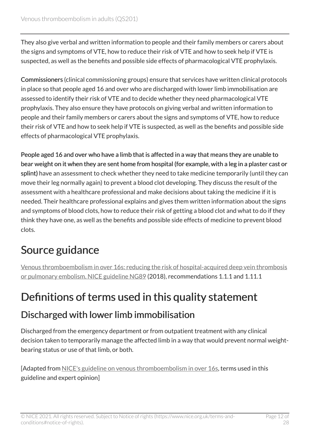They also give verbal and written information to people and their family members or carers about the signs and symptoms of VTE, how to reduce their risk of VTE and how to seek help if VTE is suspected, as well as the benefits and possible side effects of pharmacological VTE prophylaxis.

Commissioners (clinical commissioning groups) ensure that services have written clinical protocols in place so that people aged 16 and over who are discharged with lower limb immobilisation are assessed to identify their risk of VTE and to decide whether they need pharmacological VTE prophylaxis. They also ensure they have protocols on giving verbal and written information to people and their family members or carers about the signs and symptoms of VTE, how to reduce their risk of VTE and how to seek help if VTE is suspected, as well as the benefits and possible side effects of pharmacological VTE prophylaxis.

People aged 16 and over who have a limb that is affected in a way that means they are unable to bear weight on it when they are sent home from hospital (for example, with a leg in a plaster cast or splint) have an assessment to check whether they need to take medicine temporarily (until they can move their leg normally again) to prevent a blood clot developing. They discuss the result of the assessment with a healthcare professional and make decisions about taking the medicine if it is needed. Their healthcare professional explains and gives them written information about the signs and symptoms of blood clots, how to reduce their risk of getting a blood clot and what to do if they think they have one, as well as the benefits and possible side effects of medicine to prevent blood clots.

### <span id="page-11-0"></span>Source guidance

Venous thromboembolism in over [16s: reducing the risk of hospital-acquired deep vein thrombosis](https://www.nice.org.uk/guidance/ng89)  [or pulmonary embolism. NICE guideline NG89](https://www.nice.org.uk/guidance/ng89) (2018), recommendations 1.1.1 and 1.11.1

## <span id="page-11-1"></span>Definitions of terms used in this quality statement

#### Discharged with lower limb immobilisation

Discharged from the emergency department or from outpatient treatment with any clinical decision taken to temporarily manage the affected limb in a way that would prevent normal weightbearing status or use of that limb, or both.

[Adapted from [NICE's guideline on venous thromboembolism in over](https://www.nice.org.uk/guidance/ng89) 16s, terms used in this guideline and expert opinion]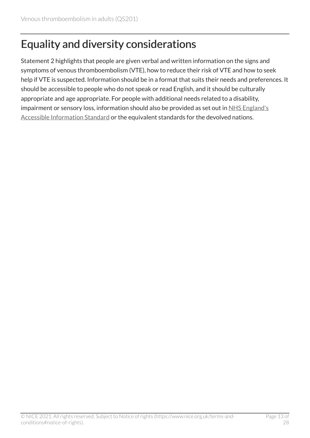## <span id="page-12-0"></span>Equality and diversity considerations

Statement 2 highlights that people are given verbal and written information on the signs and symptoms of venous thromboembolism (VTE), how to reduce their risk of VTE and how to seek help if VTE is suspected. Information should be in a format that suits their needs and preferences. It should be accessible to people who do not speak or read English, and it should be culturally appropriate and age appropriate. For people with additional needs related to a disability, impairment or sensory loss, information should also be provided as set out in [NHS England's](https://www.england.nhs.uk/ourwork/accessibleinfo/) [Accessible Information Standard](https://www.england.nhs.uk/ourwork/accessibleinfo/) or the equivalent standards for the devolved nations.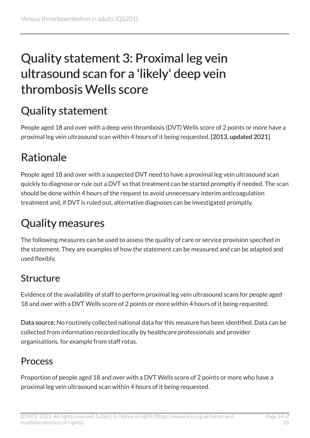## <span id="page-13-0"></span>Quality statement 3: Proximal leg vein ultrasound scan for a 'likely' deep vein thrombosis Wells score

## <span id="page-13-1"></span>Quality statement

People aged 18 and over with a deep vein thrombosis (DVT) Wells score of 2 points or more have a proximal leg vein ultrasound scan within 4 hours of it being requested. [2013, updated 2021]

## <span id="page-13-2"></span>Rationale

People aged 18 and over with a suspected DVT need to have a proximal leg vein ultrasound scan quickly to diagnose or rule out a DVT so that treatment can be started promptly if needed. The scan should be done within 4 hours of the request to avoid unnecessary interim anticoagulation treatment and, if DVT is ruled out, alternative diagnoses can be investigated promptly.

## <span id="page-13-3"></span>Quality measures

The following measures can be used to assess the quality of care or service provision specified in the statement. They are examples of how the statement can be measured and can be adapted and used flexibly.

### Structure

Evidence of the availability of staff to perform proximal leg vein ultrasound scans for people aged 18 and over with a DVT Wells score of 2 points or more within 4 hours of it being requested.

Data source: No routinely collected national data for this measure has been identified. Data can be collected from information recorded locally by healthcare professionals and provider organisations, for example from staff rotas.

#### Process

Proportion of people aged 18 and over with a DVT Wells score of 2 points or more who have a proximal leg vein ultrasound scan within 4 hours of it being requested.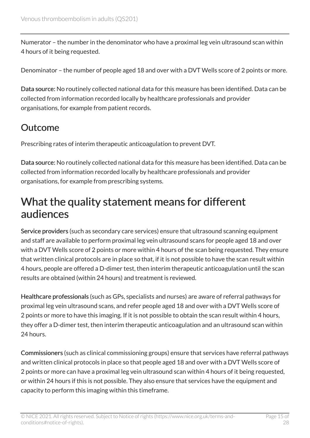Numerator – the number in the denominator who have a proximal leg vein ultrasound scan within 4 hours of it being requested.

Denominator – the number of people aged 18 and over with a DVT Wells score of 2 points or more.

Data source: No routinely collected national data for this measure has been identified. Data can be collected from information recorded locally by healthcare professionals and provider organisations, for example from patient records.

#### Outcome

Prescribing rates of interim therapeutic anticoagulation to prevent DVT.

Data source: No routinely collected national data for this measure has been identified. Data can be collected from information recorded locally by healthcare professionals and provider organisations, for example from prescribing systems.

### <span id="page-14-0"></span>What the quality statement means for different audiences

Service providers (such as secondary care services) ensure that ultrasound scanning equipment and staff are available to perform proximal leg vein ultrasound scans for people aged 18 and over with a DVT Wells score of 2 points or more within 4 hours of the scan being requested. They ensure that written clinical protocols are in place so that, if it is not possible to have the scan result within 4 hours, people are offered a D-dimer test, then interim therapeutic anticoagulation until the scan results are obtained (within 24 hours) and treatment is reviewed.

Healthcare professionals (such as GPs, specialists and nurses) are aware of referral pathways for proximal leg vein ultrasound scans, and refer people aged 18 and over with a DVT Wells score of 2 points or more to have this imaging. If it is not possible to obtain the scan result within 4 hours, they offer a D-dimer test, then interim therapeutic anticoagulation and an ultrasound scan within 24 hours.

Commissioners (such as clinical commissioning groups) ensure that services have referral pathways and written clinical protocols in place so that people aged 18 and over with a DVT Wells score of 2 points or more can have a proximal leg vein ultrasound scan within 4 hours of it being requested, or within 24 hours if this is not possible. They also ensure that services have the equipment and capacity to perform this imaging within this timeframe.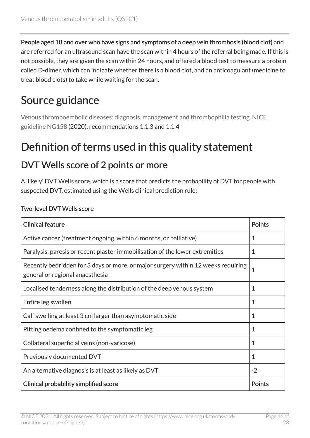People aged 18 and over who have signs and symptoms of a deep vein thrombosis (blood clot) and are referred for an ultrasound scan have the scan within 4 hours of the referral being made. If this is not possible, they are given the scan within 24 hours, and offered a blood test to measure a protein called D-dimer, which can indicate whether there is a blood clot, and an anticoagulant (medicine to treat blood clots) to take while waiting for the scan.

## <span id="page-15-0"></span>Source guidance

[Venous thromboembolic diseases: diagnosis, management and thrombophilia testing. NICE](https://www.nice.org.uk/guidance/ng158) [guideline NG158](https://www.nice.org.uk/guidance/ng158) (2020), recommendations 1.1.3 and 1.1.4

### <span id="page-15-1"></span>Definition of terms used in this quality statement

#### DVT Wells score of 2 points or more

A 'likely' DVT Wells score, which is a score that predicts the probability of DVT for people with suspected DVT, estimated using the Wells clinical prediction rule:

| <b>Clinical feature</b>                                                                                              | <b>Points</b> |
|----------------------------------------------------------------------------------------------------------------------|---------------|
| Active cancer (treatment ongoing, within 6 months, or palliative)                                                    | 1             |
| Paralysis, paresis or recent plaster immobilisation of the lower extremities                                         | 1             |
| Recently bedridden for 3 days or more, or major surgery within 12 weeks requiring<br>general or regional anaesthesia | 1             |
| Localised tenderness along the distribution of the deep venous system                                                | 1             |
| Entire leg swollen                                                                                                   | 1             |
| Calf swelling at least 3 cm larger than asymptomatic side                                                            | 1             |
| Pitting oedema confined to the symptomatic leg                                                                       | $\mathbf 1$   |
| Collateral superficial veins (non-varicose)                                                                          | 1             |
| Previously documented DVT                                                                                            | $\mathbf 1$   |
| An alternative diagnosis is at least as likely as DVT                                                                | $-2$          |
| Clinical probability simplified score                                                                                | <b>Points</b> |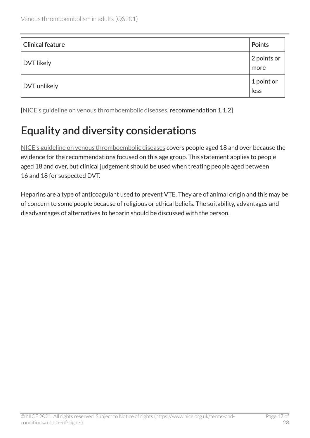| <b>Clinical feature</b> | Points              |
|-------------------------|---------------------|
| <b>DVT</b> likely       | 2 points or<br>more |
| DVT unlikely            | 1 point or<br>less  |

[[NICE's guideline on venous thromboembolic diseases](https://www.nice.org.uk/guidance/ng158), recommendation 1.1.2]

## <span id="page-16-0"></span>Equality and diversity considerations

[NICE's guideline on venous thromboembolic diseases](https://www.nice.org.uk/guidance/ng158) covers people aged 18 and over because the evidence for the recommendations focused on this age group. This statement applies to people aged 18 and over, but clinical judgement should be used when treating people aged between 16 and 18 for suspected DVT.

Heparins are a type of anticoagulant used to prevent VTE. They are of animal origin and this may be of concern to some people because of religious or ethical beliefs. The suitability, advantages and disadvantages of alternatives to heparin should be discussed with the person.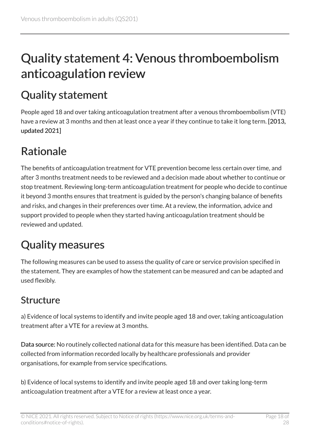## <span id="page-17-0"></span>Quality statement 4: Venous thromboembolism anticoagulation review

## <span id="page-17-1"></span>Quality statement

People aged 18 and over taking anticoagulation treatment after a venous thromboembolism (VTE) have a review at 3 months and then at least once a year if they continue to take it long term. [2013, updated 2021]

## <span id="page-17-2"></span>Rationale

The benefits of anticoagulation treatment for VTE prevention become less certain over time, and after 3 months treatment needs to be reviewed and a decision made about whether to continue or stop treatment. Reviewing long-term anticoagulation treatment for people who decide to continue it beyond 3 months ensures that treatment is guided by the person's changing balance of benefits and risks, and changes in their preferences over time. At a review, the information, advice and support provided to people when they started having anticoagulation treatment should be reviewed and updated.

## <span id="page-17-3"></span>Quality measures

The following measures can be used to assess the quality of care or service provision specified in the statement. They are examples of how the statement can be measured and can be adapted and used flexibly.

#### Structure

a) Evidence of local systems to identify and invite people aged 18 and over, taking anticoagulation treatment after a VTE for a review at 3 months.

Data source: No routinely collected national data for this measure has been identified. Data can be collected from information recorded locally by healthcare professionals and provider organisations, for example from service specifications.

b) Evidence of local systems to identify and invite people aged 18 and over taking long-term anticoagulation treatment after a VTE for a review at least once a year.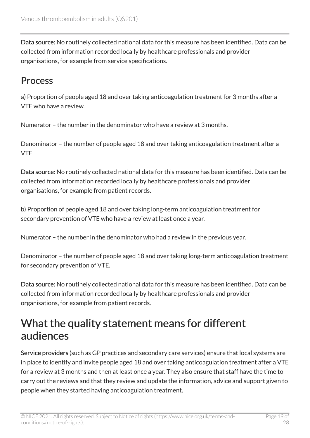Data source: No routinely collected national data for this measure has been identified. Data can be collected from information recorded locally by healthcare professionals and provider organisations, for example from service specifications.

#### Process

a) Proportion of people aged 18 and over taking anticoagulation treatment for 3 months after a VTE who have a review.

Numerator – the number in the denominator who have a review at 3 months.

Denominator – the number of people aged 18 and over taking anticoagulation treatment after a VTE.

Data source: No routinely collected national data for this measure has been identified. Data can be collected from information recorded locally by healthcare professionals and provider organisations, for example from patient records.

b) Proportion of people aged 18 and over taking long-term anticoagulation treatment for secondary prevention of VTE who have a review at least once a year.

Numerator – the number in the denominator who had a review in the previous year.

Denominator – the number of people aged 18 and over taking long-term anticoagulation treatment for secondary prevention of VTE.

Data source: No routinely collected national data for this measure has been identified. Data can be collected from information recorded locally by healthcare professionals and provider organisations, for example from patient records.

### <span id="page-18-0"></span>What the quality statement means for different audiences

Service providers (such as GP practices and secondary care services) ensure that local systems are in place to identify and invite people aged 18 and over taking anticoagulation treatment after a VTE for a review at 3 months and then at least once a year. They also ensure that staff have the time to carry out the reviews and that they review and update the information, advice and support given to people when they started having anticoagulation treatment.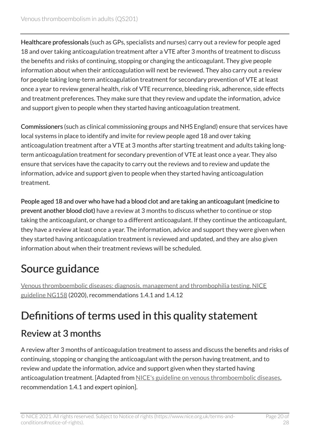Healthcare professionals (such as GPs, specialists and nurses) carry out a review for people aged 18 and over taking anticoagulation treatment after a VTE after 3 months of treatment to discuss the benefits and risks of continuing, stopping or changing the anticoagulant. They give people information about when their anticoagulation will next be reviewed. They also carry out a review for people taking long-term anticoagulation treatment for secondary prevention of VTE at least once a year to review general health, risk of VTE recurrence, bleeding risk, adherence, side effects and treatment preferences. They make sure that they review and update the information, advice and support given to people when they started having anticoagulation treatment.

Commissioners (such as clinical commissioning groups and NHS England) ensure that services have local systems in place to identify and invite for review people aged 18 and over taking anticoagulation treatment after a VTE at 3 months after starting treatment and adults taking longterm anticoagulation treatment for secondary prevention of VTE at least once a year. They also ensure that services have the capacity to carry out the reviews and to review and update the information, advice and support given to people when they started having anticoagulation treatment.

People aged 18 and over who have had a blood clot and are taking an anticoagulant (medicine to prevent another blood clot) have a review at 3 months to discuss whether to continue or stop taking the anticoagulant, or change to a different anticoagulant. If they continue the anticoagulant, they have a review at least once a year. The information, advice and support they were given when they started having anticoagulation treatment is reviewed and updated, and they are also given information about when their treatment reviews will be scheduled.

## <span id="page-19-0"></span>Source guidance

[Venous thromboembolic diseases: diagnosis, management and thrombophilia testing. NICE](https://www.nice.org.uk/guidance/ng158) [guideline NG158](https://www.nice.org.uk/guidance/ng158) (2020), recommendations 1.4.1 and 1.4.12

## <span id="page-19-1"></span>Definitions of terms used in this quality statement

#### Review at 3 months

A review after 3 months of anticoagulation treatment to assess and discuss the benefits and risks of continuing, stopping or changing the anticoagulant with the person having treatment, and to review and update the information, advice and support given when they started having anticoagulation treatment. [Adapted from [NICE's guideline on venous thromboembolic diseases](https://www.nice.org.uk/guidance/ng158), recommendation 1.4.1 and expert opinion].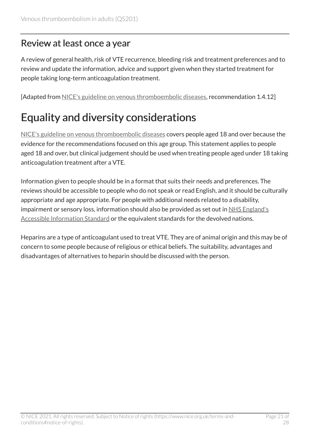#### Review at least once a year

A review of general health, risk of VTE recurrence, bleeding risk and treatment preferences and to review and update the information, advice and support given when they started treatment for people taking long-term anticoagulation treatment.

[Adapted from [NICE's guideline on venous thromboembolic diseases](https://www.nice.org.uk/guidance/ng158), recommendation 1.4.12]

## <span id="page-20-0"></span>Equality and diversity considerations

[NICE's guideline on venous thromboembolic diseases](https://www.nice.org.uk/guidance/ng158) covers people aged 18 and over because the evidence for the recommendations focused on this age group. This statement applies to people aged 18 and over, but clinical judgement should be used when treating people aged under 18 taking anticoagulation treatment after a VTE.

Information given to people should be in a format that suits their needs and preferences. The reviews should be accessible to people who do not speak or read English, and it should be culturally appropriate and age appropriate. For people with additional needs related to a disability, impairment or sensory loss, information should also be provided as set out in [NHS England's](https://www.england.nhs.uk/ourwork/accessibleinfo/) [Accessible Information Standard](https://www.england.nhs.uk/ourwork/accessibleinfo/) or the equivalent standards for the devolved nations.

Heparins are a type of anticoagulant used to treat VTE. They are of animal origin and this may be of concern to some people because of religious or ethical beliefs. The suitability, advantages and disadvantages of alternatives to heparin should be discussed with the person.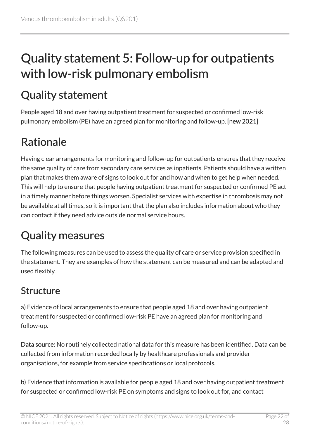## <span id="page-21-0"></span>Quality statement 5: Follow-up for outpatients with low-risk pulmonary embolism

## <span id="page-21-1"></span>Quality statement

People aged 18 and over having outpatient treatment for suspected or confirmed low-risk pulmonary embolism (PE) have an agreed plan for monitoring and follow-up. [new 2021]

## <span id="page-21-2"></span>Rationale

Having clear arrangements for monitoring and follow-up for outpatients ensures that they receive the same quality of care from secondary care services as inpatients. Patients should have a written plan that makes them aware of signs to look out for and how and when to get help when needed. This will help to ensure that people having outpatient treatment for suspected or confirmed PE act in a timely manner before things worsen. Specialist services with expertise in thrombosis may not be available at all times, so it is important that the plan also includes information about who they can contact if they need advice outside normal service hours.

## <span id="page-21-3"></span>Quality measures

The following measures can be used to assess the quality of care or service provision specified in the statement. They are examples of how the statement can be measured and can be adapted and used flexibly.

### Structure

a) Evidence of local arrangements to ensure that people aged 18 and over having outpatient treatment for suspected or confirmed low-risk PE have an agreed plan for monitoring and follow-up.

Data source: No routinely collected national data for this measure has been identified. Data can be collected from information recorded locally by healthcare professionals and provider organisations, for example from service specifications or local protocols.

b) Evidence that information is available for people aged 18 and over having outpatient treatment for suspected or confirmed low-risk PE on symptoms and signs to look out for, and contact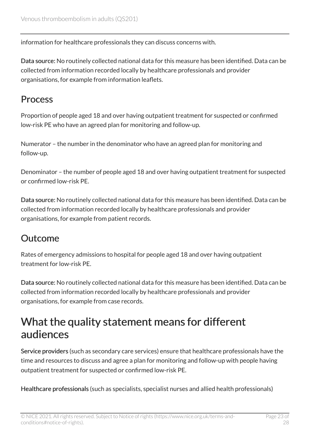information for healthcare professionals they can discuss concerns with.

Data source: No routinely collected national data for this measure has been identified. Data can be collected from information recorded locally by healthcare professionals and provider organisations, for example from information leaflets.

#### Process

Proportion of people aged 18 and over having outpatient treatment for suspected or confirmed low-risk PE who have an agreed plan for monitoring and follow-up.

Numerator – the number in the denominator who have an agreed plan for monitoring and follow-up.

Denominator – the number of people aged 18 and over having outpatient treatment for suspected or confirmed low-risk PE.

Data source: No routinely collected national data for this measure has been identified. Data can be collected from information recorded locally by healthcare professionals and provider organisations, for example from patient records.

#### Outcome

Rates of emergency admissions to hospital for people aged 18 and over having outpatient treatment for low-risk PE.

Data source: No routinely collected national data for this measure has been identified. Data can be collected from information recorded locally by healthcare professionals and provider organisations, for example from case records.

### <span id="page-22-0"></span>What the quality statement means for different audiences

Service providers (such as secondary care services) ensure that healthcare professionals have the time and resources to discuss and agree a plan for monitoring and follow-up with people having outpatient treatment for suspected or confirmed low-risk PE.

Healthcare professionals (such as specialists, specialist nurses and allied health professionals)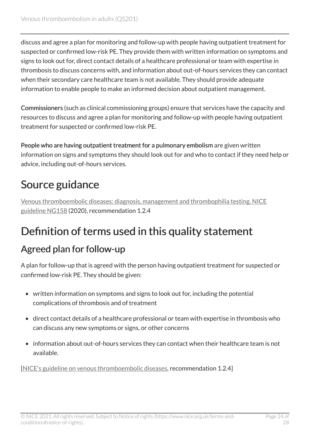discuss and agree a plan for monitoring and follow-up with people having outpatient treatment for suspected or confirmed low-risk PE. They provide them with written information on symptoms and signs to look out for, direct contact details of a healthcare professional or team with expertise in thrombosis to discuss concerns with, and information about out-of-hours services they can contact when their secondary care healthcare team is not available. They should provide adequate information to enable people to make an informed decision about outpatient management.

Commissioners (such as clinical commissioning groups) ensure that services have the capacity and resources to discuss and agree a plan for monitoring and follow-up with people having outpatient treatment for suspected or confirmed low-risk PE.

People who are having outpatient treatment for a pulmonary embolism are given written information on signs and symptoms they should look out for and who to contact if they need help or advice, including out-of-hours services.

## <span id="page-23-0"></span>Source guidance

[Venous thromboembolic diseases: diagnosis, management and thrombophilia testing. NICE](https://www.nice.org.uk/guidance/ng158) [guideline NG158](https://www.nice.org.uk/guidance/ng158) (2020), recommendation 1.2.4

## <span id="page-23-1"></span>Definition of terms used in this quality statement

#### Agreed plan for follow-up

A plan for follow-up that is agreed with the person having outpatient treatment for suspected or confirmed low-risk PE. They should be given:

- written information on symptoms and signs to look out for, including the potential complications of thrombosis and of treatment
- direct contact details of a healthcare professional or team with expertise in thrombosis who can discuss any new symptoms or signs, or other concerns
- information about out-of-hours services they can contact when their healthcare team is not available.

[[NICE's guideline on venous thromboembolic diseases](https://www.nice.org.uk/guidance/ng158), recommendation 1.2.4]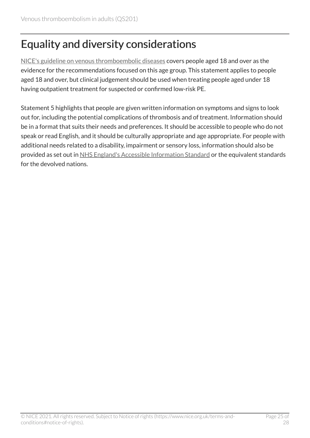## <span id="page-24-0"></span>Equality and diversity considerations

[NICE's guideline on venous thromboembolic diseases](https://www.nice.org.uk/guidance/ng158) covers people aged 18 and over as the evidence for the recommendations focused on this age group. This statement applies to people aged 18 and over, but clinical judgement should be used when treating people aged under 18 having outpatient treatment for suspected or confirmed low-risk PE.

Statement 5 highlights that people are given written information on symptoms and signs to look out for, including the potential complications of thrombosis and of treatment. Information should be in a format that suits their needs and preferences. It should be accessible to people who do not speak or read English, and it should be culturally appropriate and age appropriate. For people with additional needs related to a disability, impairment or sensory loss, information should also be provided as set out in [NHS England's Accessible Information Standard](https://www.england.nhs.uk/ourwork/accessibleinfo/) or the equivalent standards for the devolved nations.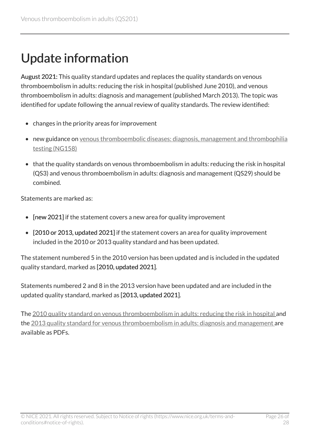## <span id="page-25-0"></span>Update information

August 2021: This quality standard updates and replaces the quality standards on venous thromboembolism in adults: reducing the risk in hospital (published June 2010), and venous thromboembolism in adults: diagnosis and management (published March 2013). The topic was identified for update following the annual review of quality standards. The review identified:

- changes in the priority areas for improvement
- new guidance on [venous thromboembolic diseases: diagnosis, management and thrombophilia](https://www.nice.org.uk/guidance/ng158) [testing \(NG158\)](https://www.nice.org.uk/guidance/ng158)
- that the quality standards on venous thromboembolism in adults: reducing the risk in hospital (QS3) and venous thromboembolism in adults: diagnosis and management (QS29) should be combined.

Statements are marked as:

- [new 2021] if the statement covers a new area for quality improvement
- [2010 or 2013, updated 2021] if the statement covers an area for quality improvement included in the 2010 or 2013 quality standard and has been updated.

The statement numbered 5 in the 2010 version has been updated and is included in the updated quality standard, marked as [2010, updated 2021].

Statements numbered 2 and 8 in the 2013 version have been updated and are included in the updated quality standard, marked as [2013, updated 2021].

The [2010 quality standard on venous thromboembolism in adults: reducing the risk in hospital](https://www.nice.org.uk/guidance/qs201/documents) and the [2013 quality standard for venous thromboembolism in adults: diagnosis and management](https://www.nice.org.uk/guidance/qs201/documents) are available as PDFs.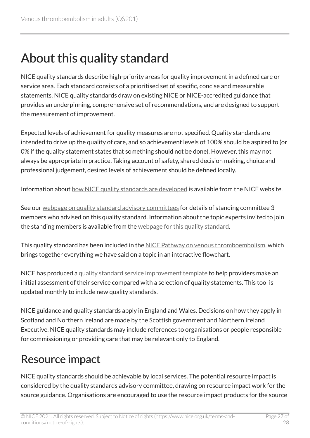## <span id="page-26-0"></span>About this quality standard

NICE quality standards describe high-priority areas for quality improvement in a defined care or service area. Each standard consists of a prioritised set of specific, concise and measurable statements. NICE quality standards draw on existing NICE or NICE-accredited guidance that provides an underpinning, comprehensive set of recommendations, and are designed to support the measurement of improvement.

Expected levels of achievement for quality measures are not specified. Quality standards are intended to drive up the quality of care, and so achievement levels of 100% should be aspired to (or 0% if the quality statement states that something should not be done). However, this may not always be appropriate in practice. Taking account of safety, shared decision making, choice and professional judgement, desired levels of achievement should be defined locally.

Information about [how NICE quality standards are developed](https://www.nice.org.uk/standards-and-indicators/timeline-developing-quality-standards) is available from the NICE website.

See our [webpage on quality standard advisory committees](http://www.nice.org.uk/Get-Involved/Meetings-in-public/Quality-Standards-Advisory-Committee) for details of standing committee 3 members who advised on this quality standard. Information about the topic experts invited to join the standing members is available from the [webpage for this quality standard.](https://www.nice.org.uk/guidance/qs201/documents)

This quality standard has been included in the [NICE Pathway on venous thromboembolism,](https://pathways.nice.org.uk/pathways/venous-thromboembolism) which brings together everything we have said on a topic in an interactive flowchart.

NICE has produced a [quality standard service improvement template](https://www.nice.org.uk/guidance/qs201/resources) to help providers make an initial assessment of their service compared with a selection of quality statements. This tool is updated monthly to include new quality standards.

NICE guidance and quality standards apply in England and Wales. Decisions on how they apply in Scotland and Northern Ireland are made by the Scottish government and Northern Ireland Executive. NICE quality standards may include references to organisations or people responsible for commissioning or providing care that may be relevant only to England.

### <span id="page-26-1"></span>Resource impact

NICE quality standards should be achievable by local services. The potential resource impact is considered by the quality standards advisory committee, drawing on resource impact work for the source guidance. Organisations are encouraged to use the resource impact products for the source